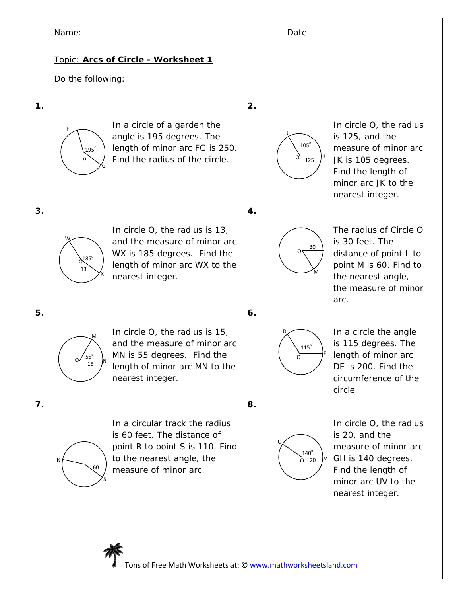# Topic: **Arcs of Circle - Worksheet 1**

Do the following:

**1.** 



In a circle of a garden the angle is 195 degrees. The length of minor arc FG is 250. Find the radius of the circle.



In circle O, the radius is 125, and the measure of minor arc JK is 105 degrees. Find the length of minor arc JK to the nearest integer.

**3.** 



In circle O, the radius is 13, and the measure of minor arc WX is 185 degrees. Find the length of minor arc WX to the nearest integer.



**2.** 



The radius of Circle O is 30 feet. The distance of point L to point M is 60. Find to the nearest angle, the measure of minor arc.

**5.** 



In circle O, the radius is 15, and the measure of minor arc MN is 55 degrees. Find the length of minor arc MN to the nearest integer.

**6.** 

**8.** 



In a circle the angle is 115 degrees. The length of minor arc DE is 200. Find the circumference of the circle.

**7.** 



In a circular track the radius is 60 feet. The distance of point R to point S is 110. Find to the nearest angle, the measure of minor arc.



In circle O, the radius is 20, and the measure of minor arc GH is 140 degrees. Find the length of minor arc UV to the nearest integer.

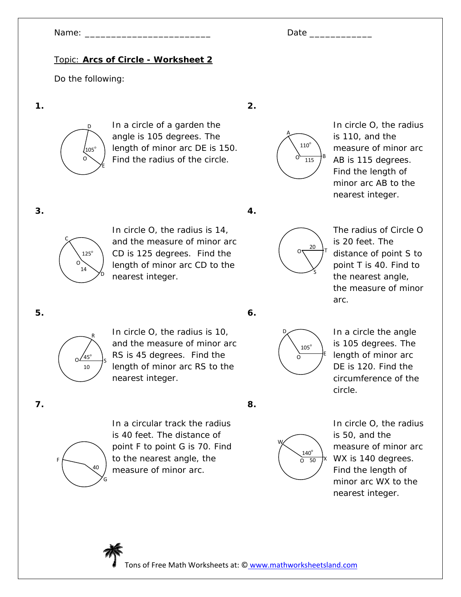## Topic: **Arcs of Circle - Worksheet 2**

Do the following:

**1.** 



In a circle of a garden the angle is 105 degrees. The length of minor arc DE is 150. Find the radius of the circle.



In circle O, the radius is 110, and the measure of minor arc AB is 115 degrees. Find the length of minor arc AB to the nearest integer.

**3.** 



In circle O, the radius is 14, and the measure of minor arc CD is 125 degrees. Find the length of minor arc CD to the nearest integer.



**2.** 



The radius of Circle O is 20 feet. The distance of point S to point T is 40. Find to the nearest angle, the measure of minor arc.

**5.** 



In circle O, the radius is 10, and the measure of minor arc RS is 45 degrees. Find the length of minor arc RS to the nearest integer.

**6.** 

**8.** 



In a circle the angle is 105 degrees. The length of minor arc DE is 120. Find the circumference of the circle.

**7.** 



In a circular track the radius is 40 feet. The distance of point F to point G is 70. Find to the nearest angle, the measure of minor arc.



In circle O, the radius is 50, and the measure of minor arc WX is 140 degrees. Find the length of minor arc WX to the nearest integer.

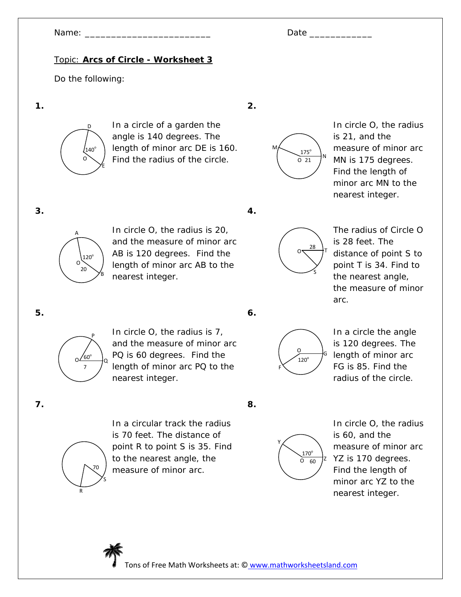## Topic: **Arcs of Circle - Worksheet 3**

Do the following:

**1.** 



In a circle of a garden the angle is 140 degrees. The length of minor arc DE is 160. Find the radius of the circle.



In circle O, the radius is 21, and the measure of minor arc MN is 175 degrees. Find the length of minor arc MN to the nearest integer.

**3.** 



In circle O, the radius is 20, and the measure of minor arc AB is 120 degrees. Find the length of minor arc AB to the nearest integer.



**2.** 



The radius of Circle O is 28 feet. The distance of point S to point T is 34. Find to the nearest angle, the measure of minor arc.

**5.** 



In circle O, the radius is 7, and the measure of minor arc PQ is 60 degrees. Find the  $\int$  length of minor arc PQ to the  $\int$ nearest integer.

**6.** 



In a circle the angle is 120 degrees. The length of minor arc FG is 85. Find the radius of the circle.

**7.** 



In a circular track the radius is 70 feet. The distance of point R to point S is 35. Find to the nearest angle, the measure of minor arc.

**8.** 



In circle O, the radius is 60, and the measure of minor arc YZ is 170 degrees. Find the length of minor arc YZ to the nearest integer.

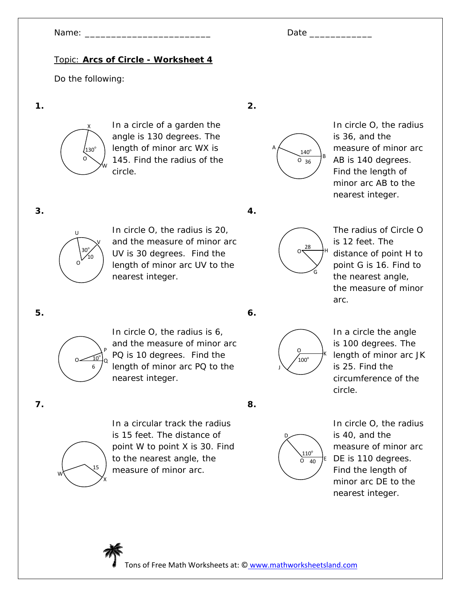# Topic: **Arcs of Circle - Worksheet 4**

Do the following:

**1.** 



In a circle of a garden the angle is 130 degrees. The length of minor arc WX is 145. Find the radius of the circle.





In circle O, the radius is 36, and the measure of minor arc AB is 140 degrees. Find the length of minor arc AB to the nearest integer.

**3.** 



In circle O, the radius is 20, and the measure of minor arc UV is 30 degrees. Find the length of minor arc UV to the nearest integer.





The radius of Circle O is 12 feet. The distance of point H to point G is 16. Find to the nearest angle, the measure of minor arc.

**5.** 



In circle O, the radius is 6, and the measure of minor arc PQ is 10 degrees. Find the  $\frac{1}{2}$  length of minor arc PQ to the state of  $\frac{1}{2}$ nearest integer.



**8.** 



In a circle the angle is 100 degrees. The length of minor arc JK is 25. Find the circumference of the circle.

**7.** 



In a circular track the radius is 15 feet. The distance of point W to point X is 30. Find to the nearest angle, the measure of minor arc.



In circle O, the radius is 40, and the measure of minor arc DE is 110 degrees. Find the length of minor arc DE to the nearest integer.